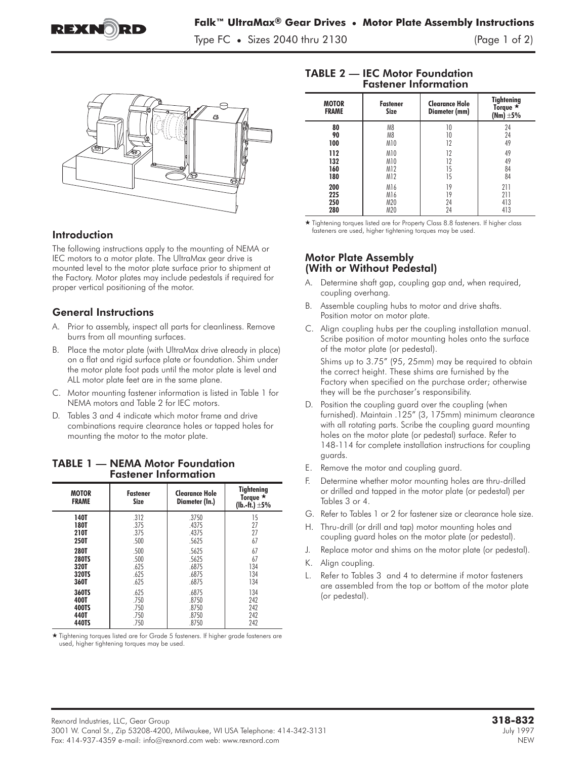

Type FC **•** Sizes 2040 thru 2130 (Page 1 of 2)



# Introduction

The following instructions apply to the mounting of NEMA or IEC motors to a motor plate. The UltraMax gear drive is mounted level to the motor plate surface prior to shipment at the Factory. Motor plates may include pedestals if required for proper vertical positioning of the motor.

### General Instructions

- A. Prior to assembly, inspect all parts for cleanliness. Remove burrs from all mounting surfaces.
- B. Place the motor plate (with UltraMax drive already in place) on a flat and rigid surface plate or foundation. Shim under the motor plate foot pads until the motor plate is level and ALL motor plate feet are in the same plane.
- C. Motor mounting fastener information is listed in Table 1 for NEMA motors and Table 2 for IEC motors.
- D. Tables 3 and 4 indicate which motor frame and drive combinations require clearance holes or tapped holes for mounting the motor to the motor plate.

| <b>MOTOR</b><br><b>FRAME</b> | <b>Fastener</b><br><b>Size</b> | <b>Clearance Hole</b><br>Diameter (In.) | <b>Tightening</b><br>Torque $\star$<br>(lb.-ft.) $\pm 5\%$ |  |  |
|------------------------------|--------------------------------|-----------------------------------------|------------------------------------------------------------|--|--|
| <b>140T</b>                  | .312                           | .3750                                   | 15                                                         |  |  |
| 180T                         | .375                           | .4375                                   | 27                                                         |  |  |
| 210T                         | .375                           | .4375                                   | 27                                                         |  |  |
| 250T                         | .500                           | .5625                                   | 67                                                         |  |  |
| 280T                         | .500                           | .5625                                   | 67                                                         |  |  |
| <b>280TS</b>                 | .500                           | .5625                                   | 67                                                         |  |  |
| 320T                         | .625                           | .6875                                   | 134                                                        |  |  |
| 320TS                        | .625                           | .6875                                   | 134                                                        |  |  |
| 360T                         | .625                           | .6875                                   | 134                                                        |  |  |
| 360TS                        | .625                           | .6875                                   | 134                                                        |  |  |
| 400T                         | .750                           | .8750                                   | 242                                                        |  |  |
| 400TS                        | .750                           | .8750                                   | 242                                                        |  |  |
| 440T                         | .750                           | .8750                                   | 242                                                        |  |  |
| 440TS                        | .750                           | .8750                                   | 242                                                        |  |  |

#### TABLE 1 — NEMA Motor Foundation Fastener Information

used, higher tightening torques may be used.

#### TABLE 2 — IEC Motor Foundation Fastener Information

| <b>MOTOR</b><br><b>FRAME</b> | <b>Fastener</b><br>Size | <b>Clearance Hole</b><br>Diameter (mm) | <b>Tightening</b><br>Torque $\star$<br>$(Nm) \pm 5%$ |  |  |
|------------------------------|-------------------------|----------------------------------------|------------------------------------------------------|--|--|
| 80                           | M <sub>8</sub>          | 10                                     | 24                                                   |  |  |
| 90                           | M <sub>8</sub>          | 10                                     | 24                                                   |  |  |
| 100                          | M10                     | 12                                     | 49                                                   |  |  |
| 112                          | M10                     | 12                                     | 49                                                   |  |  |
| 132                          | M10                     | 12                                     | 49                                                   |  |  |
| 160                          | M12                     | 15                                     | 84                                                   |  |  |
| 180                          | M12                     | 15                                     | 84                                                   |  |  |
| 200                          | M16                     | 19                                     | 211                                                  |  |  |
| 225                          | M16                     | 19                                     | 211                                                  |  |  |
| 250                          | M20                     | 24                                     | 413                                                  |  |  |
| 280                          | M20                     | 24                                     | 413                                                  |  |  |

280 M20 24 413 - Tightening torques listed are for Property Class 8.8 fasteners. If higher class fasteners are used, higher tightening torques may be used.

## Motor Plate Assembly (With or Without Pedestal)

- A. Determine shaft gap, coupling gap and, when required, coupling overhang.
- B. Assemble coupling hubs to motor and drive shafts. Position motor on motor plate.
- C. Align coupling hubs per the coupling installation manual. Scribe position of motor mounting holes onto the surface of the motor plate (or pedestal).

Shims up to 3.75" (95, 25mm) may be required to obtain the correct height. These shims are furnished by the Factory when specified on the purchase order; otherwise they will be the purchaser's responsibility.

- D. Position the coupling guard over the coupling (when furnished). Maintain .125" (3, 175mm) minimum clearance with all rotating parts. Scribe the coupling guard mounting holes on the motor plate (or pedestal) surface. Refer to 148-114 for complete installation instructions for coupling guards.
- E. Remove the motor and coupling guard.
- F. Determine whether motor mounting holes are thru-drilled or drilled and tapped in the motor plate (or pedestal) per Tables 3 or 4.
- G. Refer to Tables 1 or 2 for fastener size or clearance hole size.
- H. Thru-drill (or drill and tap) motor mounting holes and coupling guard holes on the motor plate (or pedestal).
- J. Replace motor and shims on the motor plate (or pedestal).
- K. Align coupling.
- L. Refer to Tables 3 and 4 to determine if motor fasteners are assembled from the top or bottom of the motor plate (or pedestal).